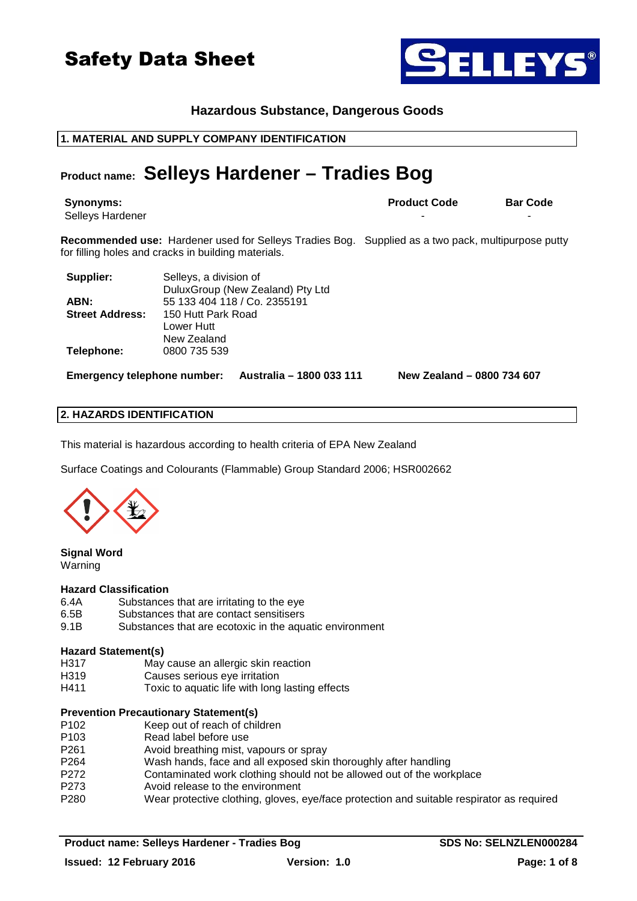### **Hazardous Substance, Dangerous Goods**

### **1. MATERIAL AND SUPPLY COMPANY IDENTIFICATION**

### **Product name: Selleys Hardener – Tradies Bog**

Selleys Hardener

**Recommended use:** Hardener used for Selleys Tradies Bog. Supplied as a two pack, multipurpose putty for filling holes and cracks in building materials.

| Supplier:              | Selleys, a division of           |
|------------------------|----------------------------------|
|                        | DuluxGroup (New Zealand) Pty Ltd |
| ABN:                   | 55 133 404 118 / Co. 2355191     |
| <b>Street Address:</b> | 150 Hutt Park Road               |
|                        | Lower Hutt                       |
|                        | New Zealand                      |
| Telephone:             | 0800 735 539                     |

**Emergency telephone number: Australia – 1800 033 111 New Zealand – 0800 734 607**

### **2. HAZARDS IDENTIFICATION**

This material is hazardous according to health criteria of EPA New Zealand

Surface Coatings and Colourants (Flammable) Group Standard 2006; HSR002662

#### **Signal Word**  Warning

#### **Hazard Classification**

- 6.4A Substances that are irritating to the eye<br>6.5B Substances that are contact sensitisers
- Substances that are contact sensitisers
- 9.1B Substances that are ecotoxic in the aquatic environment

#### **Hazard Statement(s)**

- H317 May cause an allergic skin reaction
- H319 Causes serious eye irritation
- H411 Toxic to aquatic life with long lasting effects

#### **Prevention Precautionary Statement(s)**

- P102 Keep out of reach of children
- 
- P103 Read label before use<br>P261 Avoid breathing mist, Avoid breathing mist, vapours or spray
- P264 Wash hands, face and all exposed skin thoroughly after handling
- P272 Contaminated work clothing should not be allowed out of the workplace
- P273 Avoid release to the environment
- P280 Wear protective clothing, gloves, eye/face protection and suitable respirator as required



**ILLEYS®**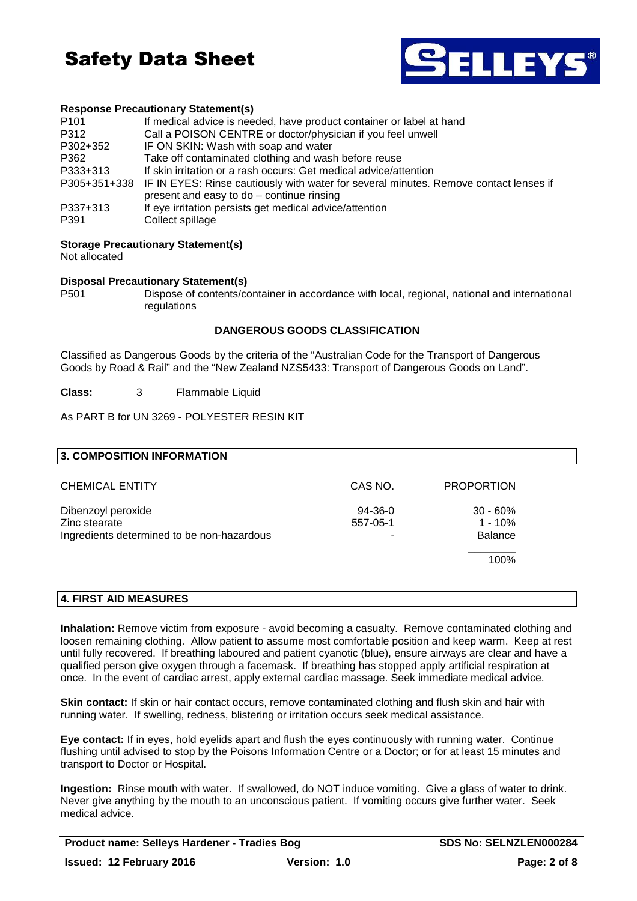

#### **Response Precautionary Statement(s)**

| P <sub>101</sub> | If medical advice is needed, have product container or label at hand                               |
|------------------|----------------------------------------------------------------------------------------------------|
| P312             | Call a POISON CENTRE or doctor/physician if you feel unwell                                        |
| P302+352         | IF ON SKIN: Wash with soap and water                                                               |
| P362             | Take off contaminated clothing and wash before reuse                                               |
| P333+313         | If skin irritation or a rash occurs: Get medical advice/attention                                  |
|                  | P305+351+338 IF IN EYES: Rinse cautiously with water for several minutes. Remove contact lenses if |
|                  | present and easy to do – continue rinsing                                                          |
| P337+313         | If eye irritation persists get medical advice/attention                                            |
| P391             | Collect spillage                                                                                   |

#### **Storage Precautionary Statement(s)**

Not allocated

#### **Disposal Precautionary Statement(s)**

P501 Dispose of contents/container in accordance with local, regional, national and international regulations

#### **DANGEROUS GOODS CLASSIFICATION**

Classified as Dangerous Goods by the criteria of the "Australian Code for the Transport of Dangerous Goods by Road & Rail" and the "New Zealand NZS5433: Transport of Dangerous Goods on Land".

**Class:** 3 Flammable Liquid

As PART B for UN 3269 - POLYESTER RESIN KIT

| 3. COMPOSITION INFORMATION                                                        |                            |                                           |  |
|-----------------------------------------------------------------------------------|----------------------------|-------------------------------------------|--|
| <b>CHEMICAL ENTITY</b>                                                            | CAS NO.                    | <b>PROPORTION</b>                         |  |
| Dibenzoyl peroxide<br>Zinc stearate<br>Ingredients determined to be non-hazardous | $94-36-0$<br>557-05-1<br>- | $30 - 60%$<br>$1 - 10%$<br><b>Balance</b> |  |
|                                                                                   |                            | 100%                                      |  |

#### **4. FIRST AID MEASURES**

**Inhalation:** Remove victim from exposure - avoid becoming a casualty. Remove contaminated clothing and loosen remaining clothing. Allow patient to assume most comfortable position and keep warm. Keep at rest until fully recovered. If breathing laboured and patient cyanotic (blue), ensure airways are clear and have a qualified person give oxygen through a facemask. If breathing has stopped apply artificial respiration at once. In the event of cardiac arrest, apply external cardiac massage. Seek immediate medical advice.

**Skin contact:** If skin or hair contact occurs, remove contaminated clothing and flush skin and hair with running water. If swelling, redness, blistering or irritation occurs seek medical assistance.

**Eye contact:** If in eyes, hold eyelids apart and flush the eyes continuously with running water. Continue flushing until advised to stop by the Poisons Information Centre or a Doctor; or for at least 15 minutes and transport to Doctor or Hospital.

**Ingestion:** Rinse mouth with water. If swallowed, do NOT induce vomiting. Give a glass of water to drink. Never give anything by the mouth to an unconscious patient. If vomiting occurs give further water. Seek medical advice.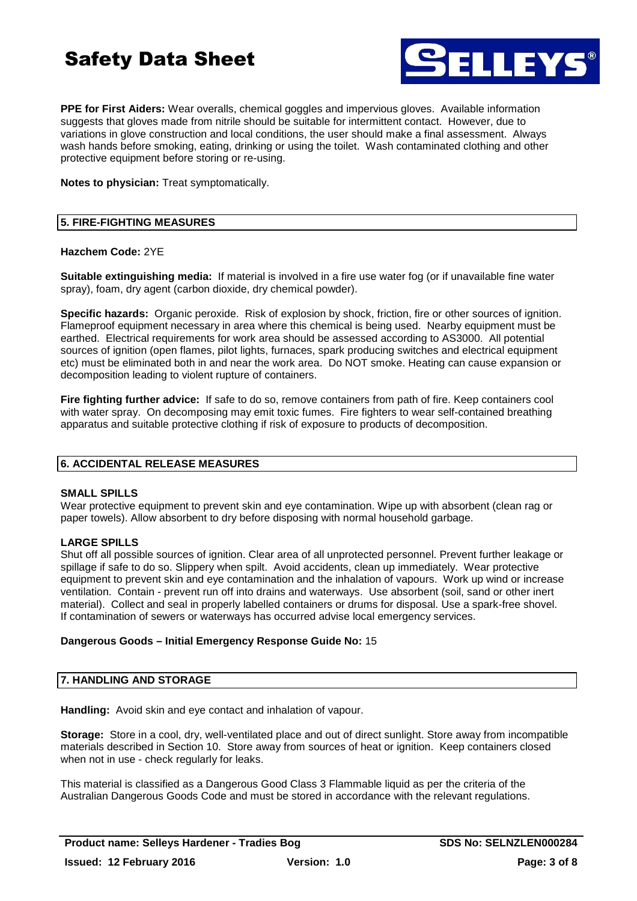

**PPE for First Aiders:** Wear overalls, chemical goggles and impervious gloves. Available information suggests that gloves made from nitrile should be suitable for intermittent contact. However, due to variations in glove construction and local conditions, the user should make a final assessment. Always wash hands before smoking, eating, drinking or using the toilet. Wash contaminated clothing and other protective equipment before storing or re-using.

**Notes to physician:** Treat symptomatically.

#### **5. FIRE-FIGHTING MEASURES**

#### **Hazchem Code:** 2YE

**Suitable extinguishing media:** If material is involved in a fire use water fog (or if unavailable fine water spray), foam, dry agent (carbon dioxide, dry chemical powder).

**Specific hazards:** Organic peroxide. Risk of explosion by shock, friction, fire or other sources of ignition. Flameproof equipment necessary in area where this chemical is being used. Nearby equipment must be earthed. Electrical requirements for work area should be assessed according to AS3000. All potential sources of ignition (open flames, pilot lights, furnaces, spark producing switches and electrical equipment etc) must be eliminated both in and near the work area. Do NOT smoke. Heating can cause expansion or decomposition leading to violent rupture of containers.

**Fire fighting further advice:** If safe to do so, remove containers from path of fire. Keep containers cool with water spray. On decomposing may emit toxic fumes. Fire fighters to wear self-contained breathing apparatus and suitable protective clothing if risk of exposure to products of decomposition.

#### **6. ACCIDENTAL RELEASE MEASURES**

#### **SMALL SPILLS**

Wear protective equipment to prevent skin and eye contamination. Wipe up with absorbent (clean rag or paper towels). Allow absorbent to dry before disposing with normal household garbage.

#### **LARGE SPILLS**

Shut off all possible sources of ignition. Clear area of all unprotected personnel. Prevent further leakage or spillage if safe to do so. Slippery when spilt. Avoid accidents, clean up immediately. Wear protective equipment to prevent skin and eye contamination and the inhalation of vapours. Work up wind or increase ventilation. Contain - prevent run off into drains and waterways. Use absorbent (soil, sand or other inert material). Collect and seal in properly labelled containers or drums for disposal. Use a spark-free shovel. If contamination of sewers or waterways has occurred advise local emergency services.

#### **Dangerous Goods – Initial Emergency Response Guide No:** 15

#### **7. HANDLING AND STORAGE**

**Handling:** Avoid skin and eye contact and inhalation of vapour.

**Storage:** Store in a cool, dry, well-ventilated place and out of direct sunlight. Store away from incompatible materials described in Section 10. Store away from sources of heat or ignition. Keep containers closed when not in use - check regularly for leaks.

This material is classified as a Dangerous Good Class 3 Flammable liquid as per the criteria of the Australian Dangerous Goods Code and must be stored in accordance with the relevant regulations.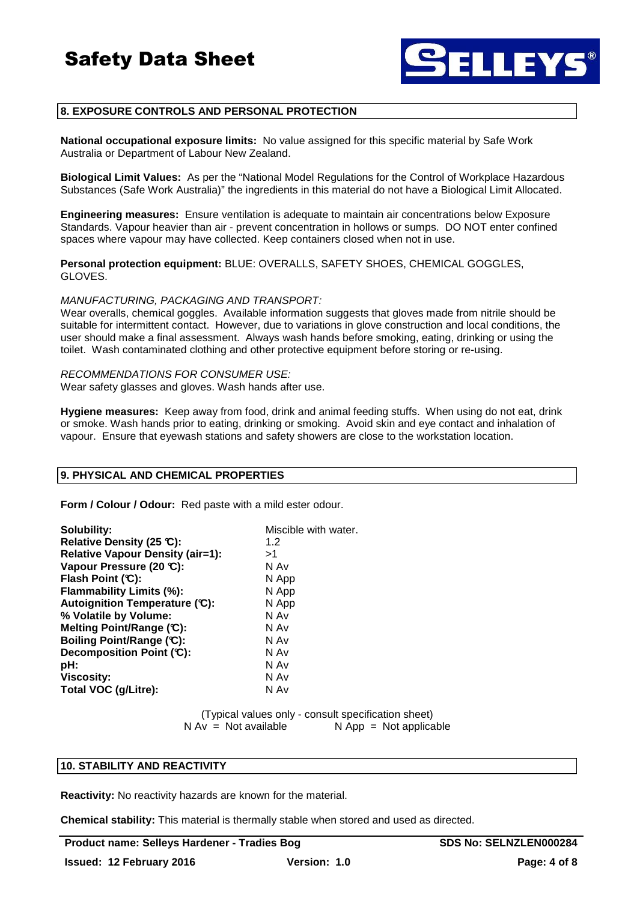

#### **8. EXPOSURE CONTROLS AND PERSONAL PROTECTION**

**National occupational exposure limits:** No value assigned for this specific material by Safe Work Australia or Department of Labour New Zealand.

**Biological Limit Values:** As per the "National Model Regulations for the Control of Workplace Hazardous Substances (Safe Work Australia)" the ingredients in this material do not have a Biological Limit Allocated.

**Engineering measures:** Ensure ventilation is adequate to maintain air concentrations below Exposure Standards. Vapour heavier than air - prevent concentration in hollows or sumps. DO NOT enter confined spaces where vapour may have collected. Keep containers closed when not in use.

**Personal protection equipment:** BLUE: OVERALLS, SAFETY SHOES, CHEMICAL GOGGLES, GLOVES.

MANUFACTURING, PACKAGING AND TRANSPORT:

Wear overalls, chemical goggles. Available information suggests that gloves made from nitrile should be suitable for intermittent contact. However, due to variations in glove construction and local conditions, the user should make a final assessment. Always wash hands before smoking, eating, drinking or using the toilet. Wash contaminated clothing and other protective equipment before storing or re-using.

RECOMMENDATIONS FOR CONSUMER USE: Wear safety glasses and gloves. Wash hands after use.

**Hygiene measures:** Keep away from food, drink and animal feeding stuffs. When using do not eat, drink or smoke. Wash hands prior to eating, drinking or smoking. Avoid skin and eye contact and inhalation of vapour. Ensure that eyewash stations and safety showers are close to the workstation location.

#### **9. PHYSICAL AND CHEMICAL PROPERTIES**

**Form / Colour / Odour:** Red paste with a mild ester odour.

| Solubility:<br>Relative Density (25 °C):<br><b>Relative Vapour Density (air=1):</b><br>Vapour Pressure (20 °C):<br>Flash Point (C):<br>Flammability Limits (%):<br>Autoignition Temperature (C):<br>% Volatile by Volume:<br>Melting Point/Range (C):<br>Boiling Point/Range (C):<br>Decomposition Point (C):<br>pH:<br><b>Viscosity:</b> | Miscible with water.<br>1.2<br>>1<br>N Av<br>N App<br>N App<br>N App<br>N Av<br>N Av<br>N Av<br>N Av<br>N Av<br>N Av |
|-------------------------------------------------------------------------------------------------------------------------------------------------------------------------------------------------------------------------------------------------------------------------------------------------------------------------------------------|----------------------------------------------------------------------------------------------------------------------|
| Total VOC (g/Litre):                                                                                                                                                                                                                                                                                                                      | N Av                                                                                                                 |
|                                                                                                                                                                                                                                                                                                                                           |                                                                                                                      |

(Typical values only - consult specification sheet)  $N Av = Not available$   $N Ap = Not applicable$ 

#### **10. STABILITY AND REACTIVITY**

**Reactivity:** No reactivity hazards are known for the material.

**Chemical stability:** This material is thermally stable when stored and used as directed.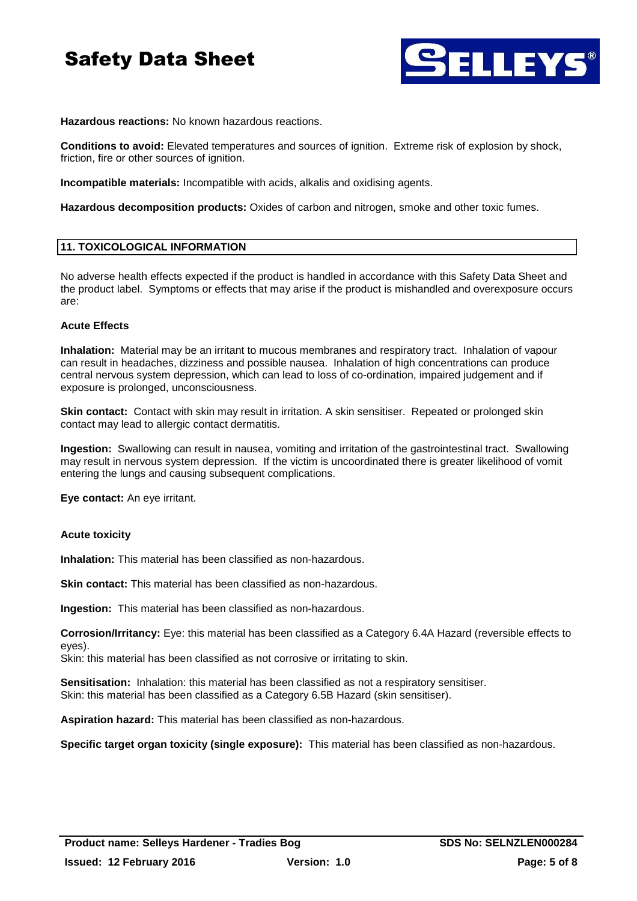

**Hazardous reactions:** No known hazardous reactions.

**Conditions to avoid:** Elevated temperatures and sources of ignition. Extreme risk of explosion by shock, friction, fire or other sources of ignition.

**Incompatible materials:** Incompatible with acids, alkalis and oxidising agents.

**Hazardous decomposition products:** Oxides of carbon and nitrogen, smoke and other toxic fumes.

#### **11. TOXICOLOGICAL INFORMATION**

No adverse health effects expected if the product is handled in accordance with this Safety Data Sheet and the product label. Symptoms or effects that may arise if the product is mishandled and overexposure occurs are:

#### **Acute Effects**

**Inhalation:** Material may be an irritant to mucous membranes and respiratory tract. Inhalation of vapour can result in headaches, dizziness and possible nausea. Inhalation of high concentrations can produce central nervous system depression, which can lead to loss of co-ordination, impaired judgement and if exposure is prolonged, unconsciousness.

**Skin contact:** Contact with skin may result in irritation. A skin sensitiser. Repeated or prolonged skin contact may lead to allergic contact dermatitis.

**Ingestion:** Swallowing can result in nausea, vomiting and irritation of the gastrointestinal tract. Swallowing may result in nervous system depression. If the victim is uncoordinated there is greater likelihood of vomit entering the lungs and causing subsequent complications.

**Eye contact:** An eye irritant.

#### **Acute toxicity**

**Inhalation:** This material has been classified as non-hazardous.

**Skin contact:** This material has been classified as non-hazardous.

**Ingestion:** This material has been classified as non-hazardous.

**Corrosion/Irritancy:** Eye: this material has been classified as a Category 6.4A Hazard (reversible effects to eyes).

Skin: this material has been classified as not corrosive or irritating to skin.

**Sensitisation:** Inhalation: this material has been classified as not a respiratory sensitiser. Skin: this material has been classified as a Category 6.5B Hazard (skin sensitiser).

**Aspiration hazard:** This material has been classified as non-hazardous.

**Specific target organ toxicity (single exposure):** This material has been classified as non-hazardous.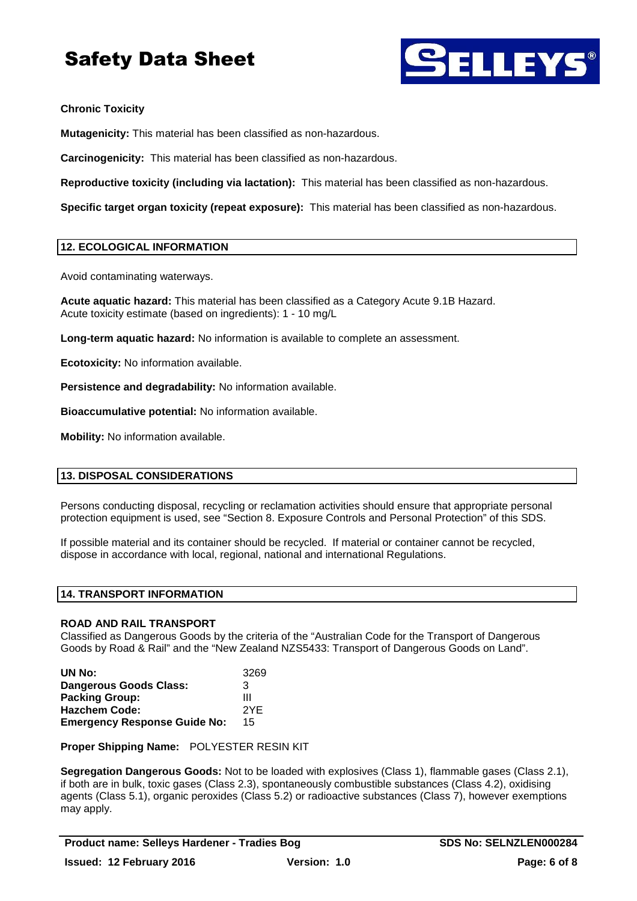

#### **Chronic Toxicity**

**Mutagenicity:** This material has been classified as non-hazardous.

**Carcinogenicity:** This material has been classified as non-hazardous.

**Reproductive toxicity (including via lactation):** This material has been classified as non-hazardous.

**Specific target organ toxicity (repeat exposure):** This material has been classified as non-hazardous.

#### **12. ECOLOGICAL INFORMATION**

Avoid contaminating waterways.

**Acute aquatic hazard:** This material has been classified as a Category Acute 9.1B Hazard. Acute toxicity estimate (based on ingredients): 1 - 10 mg/L

**Long-term aquatic hazard:** No information is available to complete an assessment.

**Ecotoxicity:** No information available.

**Persistence and degradability:** No information available.

**Bioaccumulative potential:** No information available.

**Mobility:** No information available.

#### **13. DISPOSAL CONSIDERATIONS**

Persons conducting disposal, recycling or reclamation activities should ensure that appropriate personal protection equipment is used, see "Section 8. Exposure Controls and Personal Protection" of this SDS.

If possible material and its container should be recycled. If material or container cannot be recycled, dispose in accordance with local, regional, national and international Regulations.

#### **14. TRANSPORT INFORMATION**

#### **ROAD AND RAIL TRANSPORT**

Classified as Dangerous Goods by the criteria of the "Australian Code for the Transport of Dangerous Goods by Road & Rail" and the "New Zealand NZS5433: Transport of Dangerous Goods on Land".

| UN No:                              | 3269 |
|-------------------------------------|------|
| <b>Dangerous Goods Class:</b>       | 3    |
| <b>Packing Group:</b>               | Ш    |
| <b>Hazchem Code:</b>                | 2YF  |
| <b>Emergency Response Guide No:</b> | 15   |

**Proper Shipping Name:** POLYESTER RESIN KIT

**Segregation Dangerous Goods:** Not to be loaded with explosives (Class 1), flammable gases (Class 2.1), if both are in bulk, toxic gases (Class 2.3), spontaneously combustible substances (Class 4.2), oxidising agents (Class 5.1), organic peroxides (Class 5.2) or radioactive substances (Class 7), however exemptions may apply.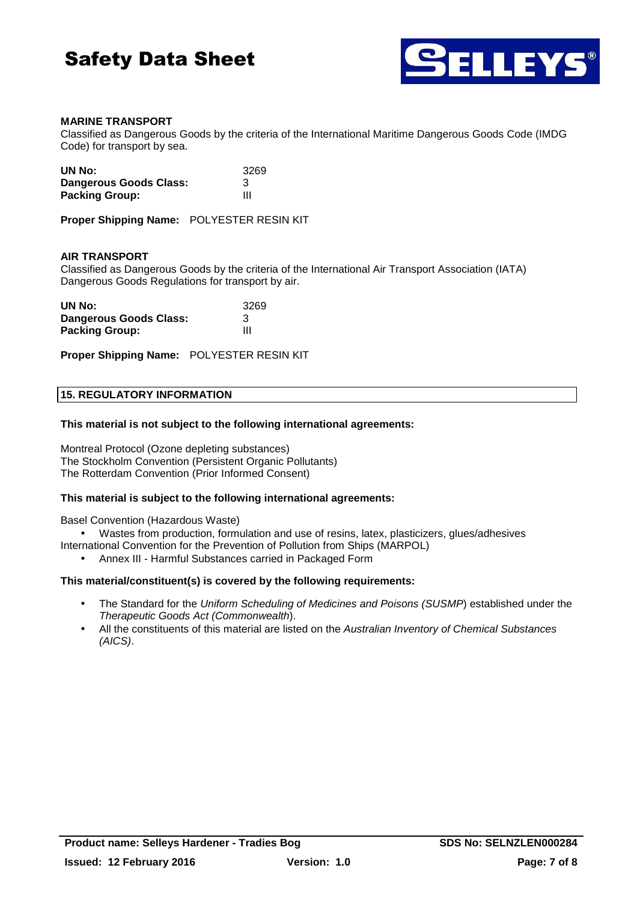



#### **MARINE TRANSPORT**

Classified as Dangerous Goods by the criteria of the International Maritime Dangerous Goods Code (IMDG Code) for transport by sea.

| UN No:                 | 3269 |
|------------------------|------|
| Dangerous Goods Class: | 3    |
| <b>Packing Group:</b>  | Ш    |

**Proper Shipping Name:** POLYESTER RESIN KIT

#### **AIR TRANSPORT**

Classified as Dangerous Goods by the criteria of the International Air Transport Association (IATA) Dangerous Goods Regulations for transport by air.

| UN No:                 | 3269 |
|------------------------|------|
| Dangerous Goods Class: | 3    |
| <b>Packing Group:</b>  | Ш    |

**Proper Shipping Name:** POLYESTER RESIN KIT

#### **15. REGULATORY INFORMATION**

#### **This material is not subject to the following international agreements:**

Montreal Protocol (Ozone depleting substances) The Stockholm Convention (Persistent Organic Pollutants) The Rotterdam Convention (Prior Informed Consent)

#### **This material is subject to the following international agreements:**

Basel Convention (Hazardous Waste)

• Wastes from production, formulation and use of resins, latex, plasticizers, glues/adhesives

- International Convention for the Prevention of Pollution from Ships (MARPOL)
	- Annex III Harmful Substances carried in Packaged Form

#### **This material/constituent(s) is covered by the following requirements:**

- The Standard for the Uniform Scheduling of Medicines and Poisons (SUSMP) established under the Therapeutic Goods Act (Commonwealth).
- All the constituents of this material are listed on the Australian Inventory of Chemical Substances (AICS).